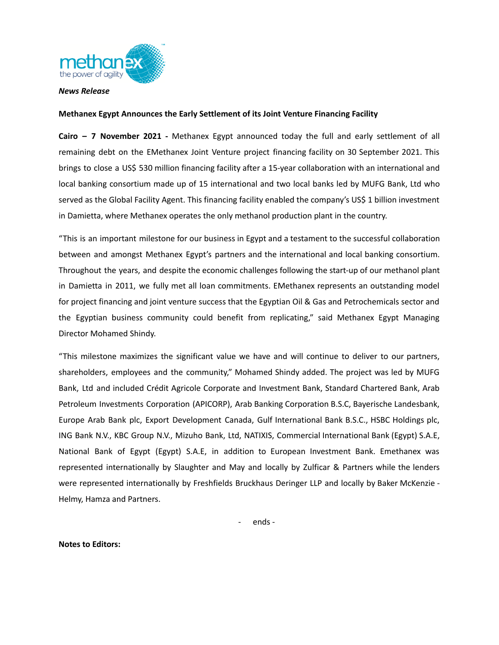

## *News Release*

## **Methanex Egypt Announces the Early Settlement of its Joint Venture Financing Facility**

**Cairo – 7 November 2021 -** Methanex Egypt announced today the full and early settlement of all remaining debt on the EMethanex Joint Venture project financing facility on 30 September 2021. This brings to close a US\$ 530 million financing facility after a 15-year collaboration with an international and local banking consortium made up of 15 international and two local banks led by MUFG Bank, Ltd who served as the Global Facility Agent. This financing facility enabled the company's US\$ 1 billion investment in Damietta, where Methanex operates the only methanol production plant in the country.

"This is an important milestone for our business in Egypt and a testament to the successful collaboration between and amongst Methanex Egypt's partners and the international and local banking consortium. Throughout the years, and despite the economic challenges following the start-up of our methanol plant in Damietta in 2011, we fully met all loan commitments. EMethanex represents an outstanding model for project financing and joint venture success that the Egyptian Oil & Gas and Petrochemicals sector and the Egyptian business community could benefit from replicating," said Methanex Egypt Managing Director Mohamed Shindy.

"This milestone maximizes the significant value we have and will continue to deliver to our partners, shareholders, employees and the community," Mohamed Shindy added. The project was led by MUFG Bank, Ltd and included Crédit Agricole Corporate and Investment Bank, Standard Chartered Bank, Arab Petroleum Investments Corporation (APICORP), Arab Banking Corporation B.S.C, Bayerische Landesbank, Europe Arab Bank plc, Export Development Canada, Gulf International Bank B.S.C., HSBC Holdings plc, ING Bank N.V., KBC Group N.V., Mizuho Bank, Ltd, NATIXIS, Commercial International Bank (Egypt) S.A.E, National Bank of Egypt (Egypt) S.A.E, in addition to European Investment Bank. Emethanex was represented internationally by Slaughter and May and locally by Zulficar & Partners while the lenders were represented internationally by Freshfields Bruckhaus Deringer LLP and locally by Baker McKenzie - Helmy, Hamza and Partners.

- ends -

## **Notes to Editors:**